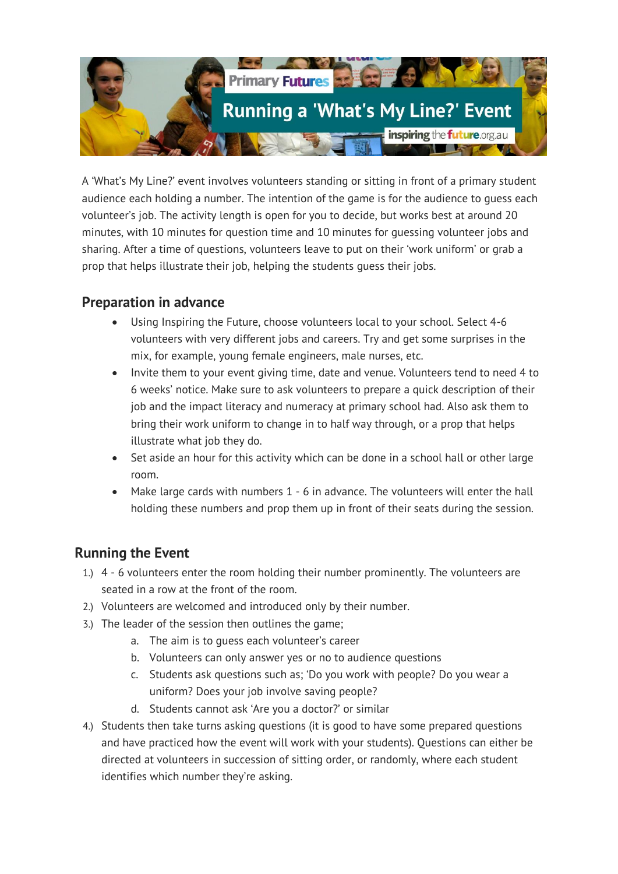

A 'What's My Line?' event involves volunteers standing or sitting in front of a primary student audience each holding a number. The intention of the game is for the audience to guess each volunteer's job. The activity length is open for you to decide, but works best at around 20 minutes, with 10 minutes for question time and 10 minutes for guessing volunteer jobs and sharing. After a time of questions, volunteers leave to put on their 'work uniform' or grab a prop that helps illustrate their job, helping the students guess their jobs.

## **Preparation in advance**

- Using Inspiring the Future, choose volunteers local to your school. Select 4-6 volunteers with very different jobs and careers. Try and get some surprises in the mix, for example, young female engineers, male nurses, etc.
- Invite them to your event giving time, date and venue. Volunteers tend to need 4 to 6 weeks' notice. Make sure to ask volunteers to prepare a quick description of their job and the impact literacy and numeracy at primary school had. Also ask them to bring their work uniform to change in to half way through, or a prop that helps illustrate what job they do.
- Set aside an hour for this activity which can be done in a school hall or other large room.
- Make large cards with numbers 1 6 in advance. The volunteers will enter the hall holding these numbers and prop them up in front of their seats during the session.

## **Running the Event**

- 1.) 4 6 volunteers enter the room holding their number prominently. The volunteers are seated in a row at the front of the room.
- 2.) Volunteers are welcomed and introduced only by their number.
- 3.) The leader of the session then outlines the game;
	- a. The aim is to guess each volunteer's career
	- b. Volunteers can only answer yes or no to audience questions
	- c. Students ask questions such as; 'Do you work with people? Do you wear a uniform? Does your job involve saving people?
	- d. Students cannot ask 'Are you a doctor?' or similar
- 4.) Students then take turns asking questions (it is good to have some prepared questions and have practiced how the event will work with your students). Questions can either be directed at volunteers in succession of sitting order, or randomly, where each student identifies which number they're asking.